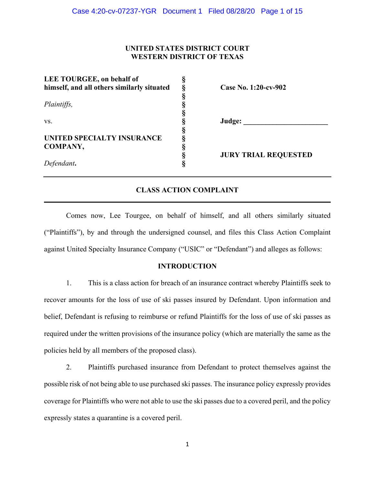# **UNITED STATES DISTRICT COURT WESTERN DISTRICT OF TEXAS**

| LEE TOURGEE, on behalf of                  |                             |
|--------------------------------------------|-----------------------------|
| himself, and all others similarly situated | Case No. 1:20-cv-902        |
|                                            |                             |
| Plaintiffs,                                |                             |
|                                            |                             |
| VS.                                        | Judge:                      |
|                                            |                             |
| UNITED SPECIALTY INSURANCE                 |                             |
| COMPANY,                                   |                             |
|                                            | <b>JURY TRIAL REQUESTED</b> |
| Defendant.                                 |                             |
|                                            |                             |

# **CLASS ACTION COMPLAINT**  $\mathcal{L}_\mathcal{L} = \mathcal{L}_\mathcal{L} = \mathcal{L}_\mathcal{L} = \mathcal{L}_\mathcal{L} = \mathcal{L}_\mathcal{L} = \mathcal{L}_\mathcal{L} = \mathcal{L}_\mathcal{L} = \mathcal{L}_\mathcal{L} = \mathcal{L}_\mathcal{L} = \mathcal{L}_\mathcal{L} = \mathcal{L}_\mathcal{L} = \mathcal{L}_\mathcal{L} = \mathcal{L}_\mathcal{L} = \mathcal{L}_\mathcal{L} = \mathcal{L}_\mathcal{L} = \mathcal{L}_\mathcal{L} = \mathcal{L}_\mathcal{L}$

Comes now, Lee Tourgee, on behalf of himself, and all others similarly situated ("Plaintiffs"), by and through the undersigned counsel, and files this Class Action Complaint against United Specialty Insurance Company ("USIC" or "Defendant") and alleges as follows:

# **INTRODUCTION**

1. This is a class action for breach of an insurance contract whereby Plaintiffs seek to recover amounts for the loss of use of ski passes insured by Defendant. Upon information and belief, Defendant is refusing to reimburse or refund Plaintiffs for the loss of use of ski passes as required under the written provisions of the insurance policy (which are materially the same as the policies held by all members of the proposed class).

2. Plaintiffs purchased insurance from Defendant to protect themselves against the possible risk of not being able to use purchased ski passes. The insurance policy expressly provides coverage for Plaintiffs who were not able to use the ski passes due to a covered peril, and the policy expressly states a quarantine is a covered peril.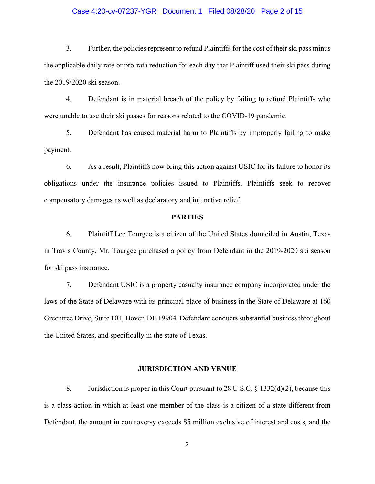#### Case 4:20-cv-07237-YGR Document 1 Filed 08/28/20 Page 2 of 15

3. Further, the policies represent to refund Plaintiffs for the cost of their ski pass minus the applicable daily rate or pro-rata reduction for each day that Plaintiff used their ski pass during the 2019/2020 ski season.

4. Defendant is in material breach of the policy by failing to refund Plaintiffs who were unable to use their ski passes for reasons related to the COVID-19 pandemic.

5. Defendant has caused material harm to Plaintiffs by improperly failing to make payment.

6. As a result, Plaintiffs now bring this action against USIC for its failure to honor its obligations under the insurance policies issued to Plaintiffs. Plaintiffs seek to recover compensatory damages as well as declaratory and injunctive relief.

# **PARTIES**

6. Plaintiff Lee Tourgee is a citizen of the United States domiciled in Austin, Texas in Travis County. Mr. Tourgee purchased a policy from Defendant in the 2019-2020 ski season for ski pass insurance.

7. Defendant USIC is a property casualty insurance company incorporated under the laws of the State of Delaware with its principal place of business in the State of Delaware at 160 Greentree Drive, Suite 101, Dover, DE 19904. Defendant conducts substantial business throughout the United States, and specifically in the state of Texas.

#### **JURISDICTION AND VENUE**

8. Jurisdiction is proper in this Court pursuant to 28 U.S.C. § 1332(d)(2), because this is a class action in which at least one member of the class is a citizen of a state different from Defendant, the amount in controversy exceeds \$5 million exclusive of interest and costs, and the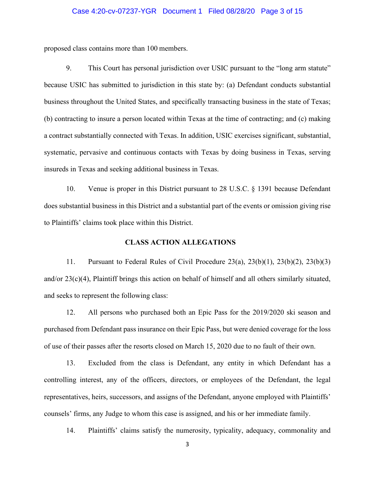# Case 4:20-cv-07237-YGR Document 1 Filed 08/28/20 Page 3 of 15

proposed class contains more than 100 members.

9. This Court has personal jurisdiction over USIC pursuant to the "long arm statute" because USIC has submitted to jurisdiction in this state by: (a) Defendant conducts substantial business throughout the United States, and specifically transacting business in the state of Texas; (b) contracting to insure a person located within Texas at the time of contracting; and (c) making a contract substantially connected with Texas. In addition, USIC exercises significant, substantial, systematic, pervasive and continuous contacts with Texas by doing business in Texas, serving insureds in Texas and seeking additional business in Texas.

10. Venue is proper in this District pursuant to 28 U.S.C. § 1391 because Defendant does substantial business in this District and a substantial part of the events or omission giving rise to Plaintiffs' claims took place within this District.

# **CLASS ACTION ALLEGATIONS**

11. Pursuant to Federal Rules of Civil Procedure 23(a), 23(b)(1), 23(b)(2), 23(b)(3) and/or 23(c)(4), Plaintiff brings this action on behalf of himself and all others similarly situated, and seeks to represent the following class:

12. All persons who purchased both an Epic Pass for the 2019/2020 ski season and purchased from Defendant pass insurance on their Epic Pass, but were denied coverage for the loss of use of their passes after the resorts closed on March 15, 2020 due to no fault of their own.

13. Excluded from the class is Defendant, any entity in which Defendant has a controlling interest, any of the officers, directors, or employees of the Defendant, the legal representatives, heirs, successors, and assigns of the Defendant, anyone employed with Plaintiffs' counsels' firms, any Judge to whom this case is assigned, and his or her immediate family.

14. Plaintiffs' claims satisfy the numerosity, typicality, adequacy, commonality and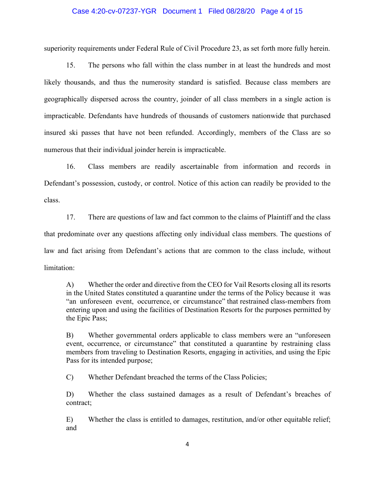#### Case 4:20-cv-07237-YGR Document 1 Filed 08/28/20 Page 4 of 15

superiority requirements under Federal Rule of Civil Procedure 23, as set forth more fully herein.

15. The persons who fall within the class number in at least the hundreds and most likely thousands, and thus the numerosity standard is satisfied. Because class members are geographically dispersed across the country, joinder of all class members in a single action is impracticable. Defendants have hundreds of thousands of customers nationwide that purchased insured ski passes that have not been refunded. Accordingly, members of the Class are so numerous that their individual joinder herein is impracticable.

16. Class members are readily ascertainable from information and records in Defendant's possession, custody, or control. Notice of this action can readily be provided to the class.

17. There are questions of law and fact common to the claims of Plaintiff and the class that predominate over any questions affecting only individual class members. The questions of law and fact arising from Defendant's actions that are common to the class include, without limitation:

A) Whether the order and directive from the CEO for Vail Resorts closing all its resorts in the United States constituted a quarantine under the terms of the Policy because it was "an unforeseen event, occurrence, or circumstance" that restrained class-members from entering upon and using the facilities of Destination Resorts for the purposes permitted by the Epic Pass;

B) Whether governmental orders applicable to class members were an "unforeseen event, occurrence, or circumstance" that constituted a quarantine by restraining class members from traveling to Destination Resorts, engaging in activities, and using the Epic Pass for its intended purpose;

C) Whether Defendant breached the terms of the Class Policies;

D) Whether the class sustained damages as a result of Defendant's breaches of contract;

E) Whether the class is entitled to damages, restitution, and/or other equitable relief; and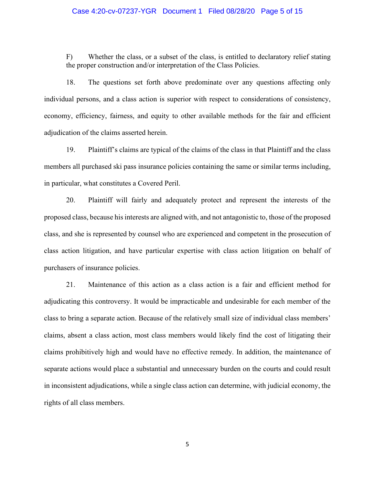#### Case 4:20-cv-07237-YGR Document 1 Filed 08/28/20 Page 5 of 15

F) Whether the class, or a subset of the class, is entitled to declaratory relief stating the proper construction and/or interpretation of the Class Policies.

18. The questions set forth above predominate over any questions affecting only individual persons, and a class action is superior with respect to considerations of consistency, economy, efficiency, fairness, and equity to other available methods for the fair and efficient adjudication of the claims asserted herein.

19. Plaintiff's claims are typical of the claims of the class in that Plaintiff and the class members all purchased ski pass insurance policies containing the same or similar terms including, in particular, what constitutes a Covered Peril.

20. Plaintiff will fairly and adequately protect and represent the interests of the proposed class, because hisinterests are aligned with, and not antagonistic to, those of the proposed class, and she is represented by counsel who are experienced and competent in the prosecution of class action litigation, and have particular expertise with class action litigation on behalf of purchasers of insurance policies.

21. Maintenance of this action as a class action is a fair and efficient method for adjudicating this controversy. It would be impracticable and undesirable for each member of the class to bring a separate action. Because of the relatively small size of individual class members' claims, absent a class action, most class members would likely find the cost of litigating their claims prohibitively high and would have no effective remedy. In addition, the maintenance of separate actions would place a substantial and unnecessary burden on the courts and could result in inconsistent adjudications, while a single class action can determine, with judicial economy, the rights of all class members.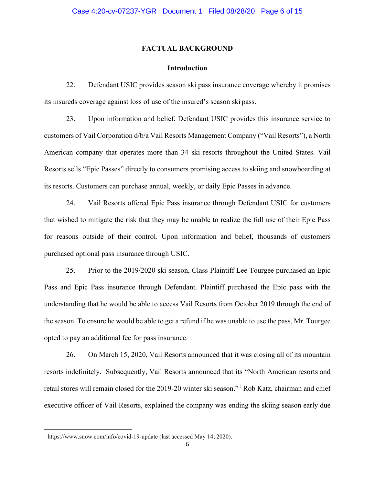#### **FACTUAL BACKGROUND**

### **Introduction**

22. Defendant USIC provides season ski pass insurance coverage whereby it promises its insureds coverage against loss of use of the insured's season ski pass.

23. Upon information and belief, Defendant USIC provides this insurance service to customers of Vail Corporation d/b/a Vail Resorts Management Company ("Vail Resorts"), a North American company that operates more than 34 ski resorts throughout the United States. Vail Resorts sells "Epic Passes" directly to consumers promising access to skiing and snowboarding at its resorts. Customers can purchase annual, weekly, or daily Epic Passes in advance.

24. Vail Resorts offered Epic Pass insurance through Defendant USIC for customers that wished to mitigate the risk that they may be unable to realize the full use of their Epic Pass for reasons outside of their control. Upon information and belief, thousands of customers purchased optional pass insurance through USIC.

25. Prior to the 2019/2020 ski season, Class Plaintiff Lee Tourgee purchased an Epic Pass and Epic Pass insurance through Defendant. Plaintiff purchased the Epic pass with the understanding that he would be able to access Vail Resorts from October 2019 through the end of the season. To ensure he would be able to get a refund if he was unable to use the pass, Mr. Tourgee opted to pay an additional fee for pass insurance.

26. On March 15, 2020, Vail Resorts announced that it was closing all of its mountain resorts indefinitely. Subsequently, Vail Resorts announced that its "North American resorts and retail stores will remain closed for the 2019-20 winter ski season."[1](#page-5-0) Rob Katz, chairman and chief executive officer of Vail Resorts, explained the company was ending the skiing season early due

<span id="page-5-0"></span><sup>1</sup> https://www.snow.com/info/covid-19-update (last accessed May 14, 2020).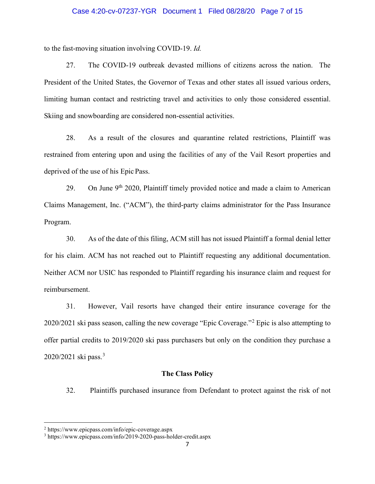#### Case 4:20-cv-07237-YGR Document 1 Filed 08/28/20 Page 7 of 15

to the fast-moving situation involving COVID-19. *Id.*

27. The COVID-19 outbreak devasted millions of citizens across the nation. The President of the United States, the Governor of Texas and other states all issued various orders, limiting human contact and restricting travel and activities to only those considered essential. Skiing and snowboarding are considered non-essential activities.

28. As a result of the closures and quarantine related restrictions, Plaintiff was restrained from entering upon and using the facilities of any of the Vail Resort properties and deprived of the use of his Epic Pass.

29. On June  $9<sup>th</sup> 2020$ , Plaintiff timely provided notice and made a claim to American Claims Management, Inc. ("ACM"), the third-party claims administrator for the Pass Insurance Program.

30. As of the date of this filing, ACM still has not issued Plaintiff a formal denial letter for his claim. ACM has not reached out to Plaintiff requesting any additional documentation. Neither ACM nor USIC has responded to Plaintiff regarding his insurance claim and request for reimbursement.

31. However, Vail resorts have changed their entire insurance coverage for the 2020/2021 ski pass season, calling the new coverage "Epic Coverage."[2](#page-6-0) Epic is also attempting to offer partial credits to 2019/2020 ski pass purchasers but only on the condition they purchase a 2020/2021 ski pass.<sup>[3](#page-6-1)</sup>

### **The Class Policy**

32. Plaintiffs purchased insurance from Defendant to protect against the risk of not

<span id="page-6-0"></span><sup>2</sup> <https://www.epicpass.com/info/epic-coverage.aspx>

<span id="page-6-1"></span><sup>3</sup> <https://www.epicpass.com/info/2019-2020-pass-holder-credit.aspx>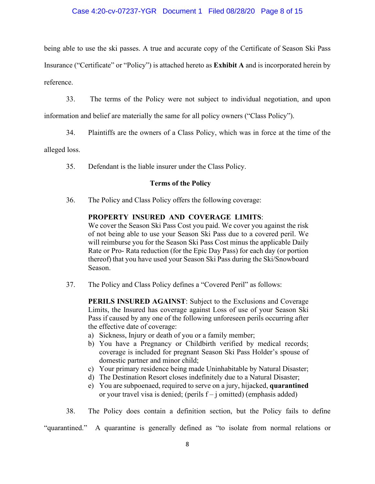# Case 4:20-cv-07237-YGR Document 1 Filed 08/28/20 Page 8 of 15

being able to use the ski passes. A true and accurate copy of the Certificate of Season Ski Pass Insurance ("Certificate" or "Policy") is attached hereto as **Exhibit A** and is incorporated herein by reference.

33. The terms of the Policy were not subject to individual negotiation, and upon

information and belief are materially the same for all policy owners ("Class Policy").

34. Plaintiffs are the owners of a Class Policy, which was in force at the time of the

alleged loss.

35. Defendant is the liable insurer under the Class Policy.

# **Terms of the Policy**

36. The Policy and Class Policy offers the following coverage:

# **PROPERTY INSURED AND COVERAGE LIMITS**:

We cover the Season Ski Pass Cost you paid. We cover you against the risk of not being able to use your Season Ski Pass due to a covered peril. We will reimburse you for the Season Ski Pass Cost minus the applicable Daily Rate or Pro- Rata reduction (for the Epic Day Pass) for each day (or portion thereof) that you have used your Season Ski Pass during the Ski/Snowboard Season.

37. The Policy and Class Policy defines a "Covered Peril" as follows:

**PERILS INSURED AGAINST**: Subject to the Exclusions and Coverage Limits, the Insured has coverage against Loss of use of your Season Ski Pass if caused by any one of the following unforeseen perils occurring after the effective date of coverage:

- a) Sickness, Injury or death of you or a family member;
- b) You have a Pregnancy or Childbirth verified by medical records; coverage is included for pregnant Season Ski Pass Holder's spouse of domestic partner and minor child;
- c) Your primary residence being made Uninhabitable by Natural Disaster;
- d) The Destination Resort closes indefinitely due to a Natural Disaster;
- e) You are subpoenaed, required to serve on a jury, hijacked, **quarantined** or your travel visa is denied; (perils  $f - j$  omitted) (emphasis added)

38. The Policy does contain a definition section, but the Policy fails to define

"quarantined." A quarantine is generally defined as "to isolate from normal relations or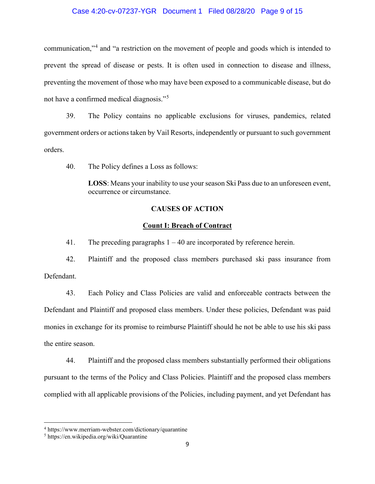#### Case 4:20-cv-07237-YGR Document 1 Filed 08/28/20 Page 9 of 15

communication,"[4](#page-8-0) and "a restriction on the movement of people and goods which is intended to prevent the spread of disease or pests. It is often used in connection to disease and illness, preventing the movement of those who may have been exposed to a communicable disease, but do not have a confirmed medical diagnosis."[5](#page-8-1)

39. The Policy contains no applicable exclusions for viruses, pandemics, related government orders or actions taken by Vail Resorts, independently or pursuant to such government orders.

40. The Policy defines a Loss as follows:

**LOSS**: Means your inability to use your season Ski Pass due to an unforeseen event, occurrence or circumstance.

# **CAUSES OF ACTION**

### **Count I: Breach of Contract**

41. The preceding paragraphs 1 – 40 are incorporated by reference herein.

42. Plaintiff and the proposed class members purchased ski pass insurance from Defendant.

43. Each Policy and Class Policies are valid and enforceable contracts between the Defendant and Plaintiff and proposed class members. Under these policies, Defendant was paid monies in exchange for its promise to reimburse Plaintiff should he not be able to use his ski pass the entire season.

44. Plaintiff and the proposed class members substantially performed their obligations pursuant to the terms of the Policy and Class Policies. Plaintiff and the proposed class members complied with all applicable provisions of the Policies, including payment, and yet Defendant has

<span id="page-8-0"></span><sup>4</sup> <https://www.merriam-webster.com/dictionary/quarantine>

<span id="page-8-1"></span><sup>5</sup> <https://en.wikipedia.org/wiki/Quarantine>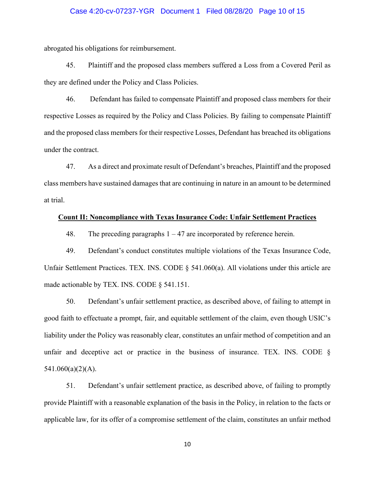#### Case 4:20-cv-07237-YGR Document 1 Filed 08/28/20 Page 10 of 15

abrogated his obligations for reimbursement.

45. Plaintiff and the proposed class members suffered a Loss from a Covered Peril as they are defined under the Policy and Class Policies.

46. Defendant has failed to compensate Plaintiff and proposed class members for their respective Losses as required by the Policy and Class Policies. By failing to compensate Plaintiff and the proposed class members for their respective Losses, Defendant has breached its obligations under the contract.

47. As a direct and proximate result of Defendant's breaches, Plaintiff and the proposed class members have sustained damages that are continuing in nature in an amount to be determined at trial.

#### **Count II: Noncompliance with Texas Insurance Code: Unfair Settlement Practices**

48. The preceding paragraphs 1 – 47 are incorporated by reference herein.

49. Defendant's conduct constitutes multiple violations of the Texas Insurance Code, Unfair Settlement Practices. TEX. INS. CODE § 541.060(a). All violations under this article are made actionable by TEX. INS. CODE § 541.151.

50. Defendant's unfair settlement practice, as described above, of failing to attempt in good faith to effectuate a prompt, fair, and equitable settlement of the claim, even though USIC's liability under the Policy was reasonably clear, constitutes an unfair method of competition and an unfair and deceptive act or practice in the business of insurance. TEX. INS. CODE §  $541.060(a)(2)(A)$ .

51. Defendant's unfair settlement practice, as described above, of failing to promptly provide Plaintiff with a reasonable explanation of the basis in the Policy, in relation to the facts or applicable law, for its offer of a compromise settlement of the claim, constitutes an unfair method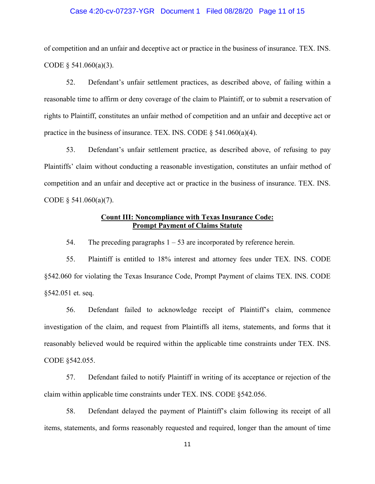#### Case 4:20-cv-07237-YGR Document 1 Filed 08/28/20 Page 11 of 15

of competition and an unfair and deceptive act or practice in the business of insurance. TEX. INS. CODE  $§$  541.060(a)(3).

52. Defendant's unfair settlement practices, as described above, of failing within a reasonable time to affirm or deny coverage of the claim to Plaintiff, or to submit a reservation of rights to Plaintiff, constitutes an unfair method of competition and an unfair and deceptive act or practice in the business of insurance. TEX. INS. CODE  $\S$  541.060(a)(4).

53. Defendant's unfair settlement practice, as described above, of refusing to pay Plaintiffs' claim without conducting a reasonable investigation, constitutes an unfair method of competition and an unfair and deceptive act or practice in the business of insurance. TEX. INS. CODE  $§$  541.060(a)(7).

# **Count III: Noncompliance with Texas Insurance Code: Prompt Payment of Claims Statute**

54. The preceding paragraphs  $1 - 53$  are incorporated by reference herein.

55. Plaintiff is entitled to 18% interest and attorney fees under TEX. INS. CODE §542.060 for violating the Texas Insurance Code, Prompt Payment of claims TEX. INS. CODE §542.051 et. seq.

56. Defendant failed to acknowledge receipt of Plaintiff's claim, commence investigation of the claim, and request from Plaintiffs all items, statements, and forms that it reasonably believed would be required within the applicable time constraints under TEX. INS. CODE §542.055.

57. Defendant failed to notify Plaintiff in writing of its acceptance or rejection of the claim within applicable time constraints under TEX. INS. CODE §542.056.

58. Defendant delayed the payment of Plaintiff's claim following its receipt of all items, statements, and forms reasonably requested and required, longer than the amount of time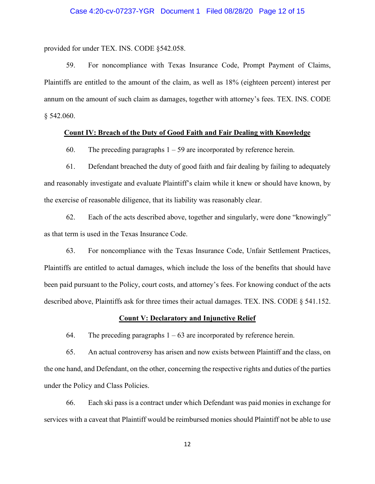provided for under TEX. INS. CODE §542.058.

59. For noncompliance with Texas Insurance Code, Prompt Payment of Claims, Plaintiffs are entitled to the amount of the claim, as well as 18% (eighteen percent) interest per annum on the amount of such claim as damages, together with attorney's fees. TEX. INS. CODE § 542.060.

### **Count IV: Breach of the Duty of Good Faith and Fair Dealing with Knowledge**

60. The preceding paragraphs  $1 - 59$  are incorporated by reference herein.

61. Defendant breached the duty of good faith and fair dealing by failing to adequately and reasonably investigate and evaluate Plaintiff's claim while it knew or should have known, by the exercise of reasonable diligence, that its liability was reasonably clear.

62. Each of the acts described above, together and singularly, were done "knowingly" as that term is used in the Texas Insurance Code.

63. For noncompliance with the Texas Insurance Code, Unfair Settlement Practices, Plaintiffs are entitled to actual damages, which include the loss of the benefits that should have been paid pursuant to the Policy, court costs, and attorney's fees. For knowing conduct of the acts described above, Plaintiffs ask for three times their actual damages. TEX. INS. CODE § 541.152.

#### **Count V: Declaratory and Injunctive Relief**

64. The preceding paragraphs  $1 - 63$  are incorporated by reference herein.

65. An actual controversy has arisen and now exists between Plaintiff and the class, on the one hand, and Defendant, on the other, concerning the respective rights and duties of the parties under the Policy and Class Policies.

66. Each ski pass is a contract under which Defendant was paid monies in exchange for services with a caveat that Plaintiff would be reimbursed monies should Plaintiff not be able to use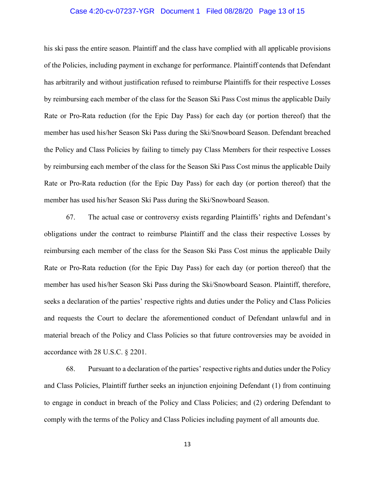#### Case 4:20-cv-07237-YGR Document 1 Filed 08/28/20 Page 13 of 15

his ski pass the entire season. Plaintiff and the class have complied with all applicable provisions of the Policies, including payment in exchange for performance. Plaintiff contends that Defendant has arbitrarily and without justification refused to reimburse Plaintiffs for their respective Losses by reimbursing each member of the class for the Season Ski Pass Cost minus the applicable Daily Rate or Pro-Rata reduction (for the Epic Day Pass) for each day (or portion thereof) that the member has used his/her Season Ski Pass during the Ski/Snowboard Season. Defendant breached the Policy and Class Policies by failing to timely pay Class Members for their respective Losses by reimbursing each member of the class for the Season Ski Pass Cost minus the applicable Daily Rate or Pro-Rata reduction (for the Epic Day Pass) for each day (or portion thereof) that the member has used his/her Season Ski Pass during the Ski/Snowboard Season.

67. The actual case or controversy exists regarding Plaintiffs' rights and Defendant's obligations under the contract to reimburse Plaintiff and the class their respective Losses by reimbursing each member of the class for the Season Ski Pass Cost minus the applicable Daily Rate or Pro-Rata reduction (for the Epic Day Pass) for each day (or portion thereof) that the member has used his/her Season Ski Pass during the Ski/Snowboard Season. Plaintiff, therefore, seeks a declaration of the parties' respective rights and duties under the Policy and Class Policies and requests the Court to declare the aforementioned conduct of Defendant unlawful and in material breach of the Policy and Class Policies so that future controversies may be avoided in accordance with 28 U.S.C. § 2201.

68. Pursuant to a declaration of the parties' respective rights and duties under the Policy and Class Policies, Plaintiff further seeks an injunction enjoining Defendant (1) from continuing to engage in conduct in breach of the Policy and Class Policies; and (2) ordering Defendant to comply with the terms of the Policy and Class Policies including payment of all amounts due.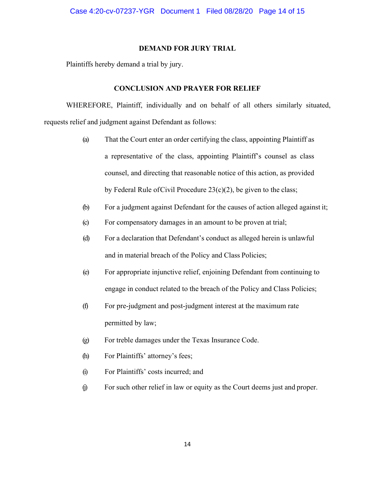### **DEMAND FOR JURY TRIAL**

Plaintiffs hereby demand a trial by jury.

# **CONCLUSION AND PRAYER FOR RELIEF**

WHEREFORE, Plaintiff, individually and on behalf of all others similarly situated, requests relief and judgment against Defendant as follows:

- (a) That the Court enter an order certifying the class, appointing Plaintiff as a representative of the class, appointing Plaintiff's counsel as class counsel, and directing that reasonable notice of this action, as provided by Federal Rule ofCivil Procedure 23(c)(2), be given to the class;
- (b) For a judgment against Defendant for the causes of action alleged against it;
- (c) For compensatory damages in an amount to be proven at trial;
- (d) For a declaration that Defendant's conduct as alleged herein is unlawful and in material breach of the Policy and Class Policies;
- (e) For appropriate injunctive relief, enjoining Defendant from continuing to engage in conduct related to the breach of the Policy and Class Policies;
- (f) For pre-judgment and post-judgment interest at the maximum rate permitted by law;
- (g) For treble damages under the Texas Insurance Code.
- (h) For Plaintiffs' attorney's fees;
- (i) For Plaintiffs' costs incurred; and
- (j) For such other relief in law or equity as the Court deems just and proper.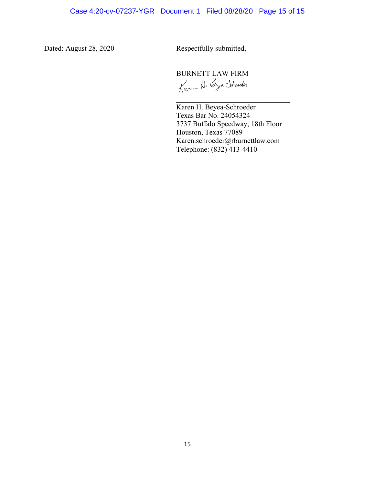Dated: August 28, 2020 Respectfully submitted,

BURNETT LAW FIRM<br>Kann H. Bya Styneder

 Karen H. Beyea-Schroeder Texas Bar No. 24054324 3737 Buffalo Speedway, 18th Floor Houston, Texas 77089 Karen.schroeder@rburnettlaw.com Telephone: (832) 413-4410

 $\overline{\mathcal{L}}$  , and the set of the set of the set of the set of the set of the set of the set of the set of the set of the set of the set of the set of the set of the set of the set of the set of the set of the set of the s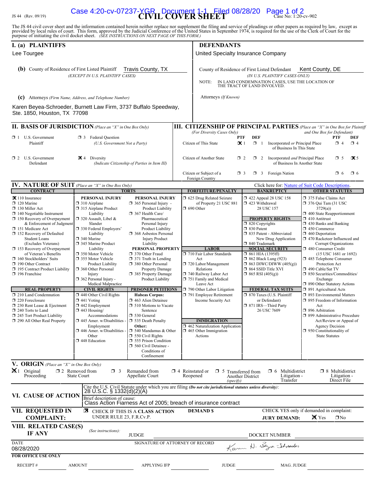# JS 44 (Rev. 09/19) **CIVIL COVER SHEET** Case No: 1:20-cv-902 Case 4:20-cv-07237-YGR Document 1-1 Filed 08/28/20 Page 1 of 2

The JS 44 civil cover sheet and the information contained herein neither replace nor supplement the filing and service of pleadings or other papers as required by law, except as provided by local rules of court. This form,

| I. (a) PLAINTIFFS<br>Lee Tourgee                                                                                                                                                                                                                                                                                                                                                                                                                                                                                                                                                                                                                                            |                                                                                                                                                                                                                                                                                                                                                                                                                                                                                                                                                                                                                                     |                                                                                                                                                                                                                                                                                                                                                                                                                                                                                                                                                                                                                                                                                                                |                                                                                                                                                                                                                                                                                                                                                                                                                            | <b>DEFENDANTS</b><br>United Specialty Insurance Company                                                                                                                                                                                                                                                                                                                                                                                                                                         |                                                                                                                                                                                                                                                                                                                                                                                                                                                                                                                                                                                                                                                                                                                                             |  |  |
|-----------------------------------------------------------------------------------------------------------------------------------------------------------------------------------------------------------------------------------------------------------------------------------------------------------------------------------------------------------------------------------------------------------------------------------------------------------------------------------------------------------------------------------------------------------------------------------------------------------------------------------------------------------------------------|-------------------------------------------------------------------------------------------------------------------------------------------------------------------------------------------------------------------------------------------------------------------------------------------------------------------------------------------------------------------------------------------------------------------------------------------------------------------------------------------------------------------------------------------------------------------------------------------------------------------------------------|----------------------------------------------------------------------------------------------------------------------------------------------------------------------------------------------------------------------------------------------------------------------------------------------------------------------------------------------------------------------------------------------------------------------------------------------------------------------------------------------------------------------------------------------------------------------------------------------------------------------------------------------------------------------------------------------------------------|----------------------------------------------------------------------------------------------------------------------------------------------------------------------------------------------------------------------------------------------------------------------------------------------------------------------------------------------------------------------------------------------------------------------------|-------------------------------------------------------------------------------------------------------------------------------------------------------------------------------------------------------------------------------------------------------------------------------------------------------------------------------------------------------------------------------------------------------------------------------------------------------------------------------------------------|---------------------------------------------------------------------------------------------------------------------------------------------------------------------------------------------------------------------------------------------------------------------------------------------------------------------------------------------------------------------------------------------------------------------------------------------------------------------------------------------------------------------------------------------------------------------------------------------------------------------------------------------------------------------------------------------------------------------------------------------|--|--|
| Travis County, TX<br><b>(b)</b> County of Residence of First Listed Plaintiff<br>(EXCEPT IN U.S. PLAINTIFF CASES)                                                                                                                                                                                                                                                                                                                                                                                                                                                                                                                                                           |                                                                                                                                                                                                                                                                                                                                                                                                                                                                                                                                                                                                                                     |                                                                                                                                                                                                                                                                                                                                                                                                                                                                                                                                                                                                                                                                                                                | NOTE:                                                                                                                                                                                                                                                                                                                                                                                                                      | Kent County, DE<br>County of Residence of First Listed Defendant<br>(IN U.S. PLAINTIFF CASES ONLY)<br>IN LAND CONDEMNATION CASES, USE THE LOCATION OF THE TRACT OF LAND INVOLVED.                                                                                                                                                                                                                                                                                                               |                                                                                                                                                                                                                                                                                                                                                                                                                                                                                                                                                                                                                                                                                                                                             |  |  |
| (c) Attorneys (Firm Name, Address, and Telephone Number)<br>Karen Beyea-Schroeder, Burnett Law Firm, 3737 Buffalo Speedway,                                                                                                                                                                                                                                                                                                                                                                                                                                                                                                                                                 |                                                                                                                                                                                                                                                                                                                                                                                                                                                                                                                                                                                                                                     |                                                                                                                                                                                                                                                                                                                                                                                                                                                                                                                                                                                                                                                                                                                | Attorneys (If Known)                                                                                                                                                                                                                                                                                                                                                                                                       |                                                                                                                                                                                                                                                                                                                                                                                                                                                                                                 |                                                                                                                                                                                                                                                                                                                                                                                                                                                                                                                                                                                                                                                                                                                                             |  |  |
| Ste. 1850, Houston, TX 77098                                                                                                                                                                                                                                                                                                                                                                                                                                                                                                                                                                                                                                                |                                                                                                                                                                                                                                                                                                                                                                                                                                                                                                                                                                                                                                     |                                                                                                                                                                                                                                                                                                                                                                                                                                                                                                                                                                                                                                                                                                                |                                                                                                                                                                                                                                                                                                                                                                                                                            |                                                                                                                                                                                                                                                                                                                                                                                                                                                                                                 |                                                                                                                                                                                                                                                                                                                                                                                                                                                                                                                                                                                                                                                                                                                                             |  |  |
| $\Box$ 1 U.S. Government<br>Plaintiff                                                                                                                                                                                                                                                                                                                                                                                                                                                                                                                                                                                                                                       | <b>II. BASIS OF JURISDICTION</b> (Place an "X" in One Box Only)<br><b>3</b> Federal Question<br>(U.S. Government Not a Party)                                                                                                                                                                                                                                                                                                                                                                                                                                                                                                       |                                                                                                                                                                                                                                                                                                                                                                                                                                                                                                                                                                                                                                                                                                                | (For Diversity Cases Only)<br>Citizen of This State                                                                                                                                                                                                                                                                                                                                                                        | <b>DEF</b><br>PTF<br>$\propto$ 1<br>$\Box$ 1<br>Incorporated or Principal Place<br>of Business In This State                                                                                                                                                                                                                                                                                                                                                                                    | <b>III. CITIZENSHIP OF PRINCIPAL PARTIES</b> (Place an "X" in One Box for Plaintiff<br>and One Box for Defendant)<br>PTF<br>DEF<br>$\Box$ 4<br>$\Box$ 4                                                                                                                                                                                                                                                                                                                                                                                                                                                                                                                                                                                     |  |  |
| $\Box$ 2 U.S. Government<br>Defendant                                                                                                                                                                                                                                                                                                                                                                                                                                                                                                                                                                                                                                       | $\mathbf{\times}$ 4 Diversity                                                                                                                                                                                                                                                                                                                                                                                                                                                                                                                                                                                                       | (Indicate Citizenship of Parties in Item III)                                                                                                                                                                                                                                                                                                                                                                                                                                                                                                                                                                                                                                                                  | Citizen of Another State                                                                                                                                                                                                                                                                                                                                                                                                   | $\Box$ 2<br>2 Incorporated and Principal Place<br>of Business In Another State                                                                                                                                                                                                                                                                                                                                                                                                                  | $\mathbf{\times}$ 5<br>$\Box$ 5                                                                                                                                                                                                                                                                                                                                                                                                                                                                                                                                                                                                                                                                                                             |  |  |
|                                                                                                                                                                                                                                                                                                                                                                                                                                                                                                                                                                                                                                                                             |                                                                                                                                                                                                                                                                                                                                                                                                                                                                                                                                                                                                                                     |                                                                                                                                                                                                                                                                                                                                                                                                                                                                                                                                                                                                                                                                                                                | Citizen or Subject of a<br>Foreign Country                                                                                                                                                                                                                                                                                                                                                                                 | <b>1</b> 3 Foreign Nation<br>$\Box$ 3                                                                                                                                                                                                                                                                                                                                                                                                                                                           | $\Box$ 6<br>$\Box$ 6                                                                                                                                                                                                                                                                                                                                                                                                                                                                                                                                                                                                                                                                                                                        |  |  |
| <b>IV. NATURE OF SUIT</b> (Place an "X" in One Box Only)<br><b>CONTRACT</b>                                                                                                                                                                                                                                                                                                                                                                                                                                                                                                                                                                                                 | <b>TORTS</b>                                                                                                                                                                                                                                                                                                                                                                                                                                                                                                                                                                                                                        |                                                                                                                                                                                                                                                                                                                                                                                                                                                                                                                                                                                                                                                                                                                | <b>FORFEITURE/PENALTY</b>                                                                                                                                                                                                                                                                                                                                                                                                  | <b>BANKRUPTCY</b>                                                                                                                                                                                                                                                                                                                                                                                                                                                                               | Click here for: Nature of Suit Code Descriptions.<br><b>OTHER STATUTES</b>                                                                                                                                                                                                                                                                                                                                                                                                                                                                                                                                                                                                                                                                  |  |  |
| $\mathbf{\times}$ 110 Insurance<br>$\Box$ 120 Marine<br>$\Box$ 130 Miller Act<br>$\Box$ 140 Negotiable Instrument<br>$\Box$ 150 Recovery of Overpayment<br>& Enforcement of Judgment<br>□ 151 Medicare Act<br>□ 152 Recovery of Defaulted<br><b>Student Loans</b><br>(Excludes Veterans)<br>$\Box$ 153 Recovery of Overpayment<br>of Veteran's Benefits<br>160 Stockholders' Suits<br>190 Other Contract<br>195 Contract Product Liability<br>$\Box$ 196 Franchise<br><b>REAL PROPERTY</b><br>210 Land Condemnation<br>$\Box$ 220 Foreclosure<br>$\Box$ 230 Rent Lease & Ejectment<br>$\Box$ 240 Torts to Land<br>245 Tort Product Liability<br>290 All Other Real Property | PERSONAL INJURY<br>$\Box$ 310 Airplane<br>315 Airplane Product<br>Liability<br>$\Box$ 320 Assault, Libel &<br>Slander<br>□ 330 Federal Employers'<br>Liability<br>□ 340 Marine<br>345 Marine Product<br>Liability<br>□ 350 Motor Vehicle<br>□ 355 Motor Vehicle<br>Product Liability<br>360 Other Personal<br>Injury<br>362 Personal Injury -<br>Medical Malpractice<br><b>CIVIL RIGHTS</b><br>$\Box$ 440 Other Civil Rights<br>$\Box$ 441 Voting<br>$\Box$ 442 Employment<br>$\Box$ 443 Housing/<br>Accommodations<br>$\square$ 445 Amer. w/Disabilities -<br>Employment<br>446 Amer. w/Disabilities -<br>Other<br>□ 448 Education | PERSONAL INJURY<br>$\Box$ 365 Personal Injury -<br>Product Liability<br>$\Box$ 367 Health Care/<br>Pharmaceutical<br>Personal Injury<br>Product Liability<br>□ 368 Asbestos Personal<br><b>Injury Product</b><br>Liability<br>PERSONAL PROPERTY<br>370 Other Fraud<br>$\Box$ 371 Truth in Lending<br>380 Other Personal<br><b>Property Damage</b><br>□ 385 Property Damage<br>Product Liability<br><b>PRISONER PETITIONS</b><br><b>Habeas Corpus:</b><br>$\Box$ 463 Alien Detainee<br>$\Box$ 510 Motions to Vacate<br>Sentence<br>$\Box$ 530 General<br>535 Death Penalty<br>Other:<br>$\Box$ 540 Mandamus & Other<br>$\Box$ 550 Civil Rights<br>555 Prison Condition<br>560 Civil Detainee -<br>Conditions of | 5 625 Drug Related Seizure<br>of Property 21 USC 881<br>$\Box$ 690 Other<br><b>LABOR</b><br>710 Fair Labor Standards<br>Act<br>720 Labor/Management<br>Relations<br>740 Railway Labor Act<br>751 Family and Medical<br>Leave Act<br>790 Other Labor Litigation<br>791 Employee Retirement<br>Income Security Act<br><b>IMMIGRATION</b><br>$\Box$ 462 Naturalization Application<br>$\Box$ 465 Other Immigration<br>Actions | 158 122 Appeal 28 USC 158<br>423 Withdrawal<br>28 USC 157<br><b>PROPERTY RIGHTS</b><br>$\Box$ 820 Copyrights<br>□ 830 Patent<br>335 Patent - Abbreviated<br>New Drug Application<br>□ 840 Trademark<br><b>SOCIAL SECURITY</b><br>$\Box$ 861 HIA (1395ff)<br>□ 862 Black Lung (923)<br>$\Box$ 863 DIWC/DIWW (405(g))<br>$\Box$ 864 SSID Title XVI<br>$\Box$ 865 RSI (405(g))<br><b>FEDERAL TAX SUITS</b><br>□ 870 Taxes (U.S. Plaintiff<br>or Defendant)<br>□ 871 IRS-Third Party<br>26 USC 7609 | 375 False Claims Act<br>376 Qui Tam (31 USC<br>3729(a)<br>1 400 State Reapportionment<br>$\Box$ 410 Antitrust<br>$\Box$ 430 Banks and Banking<br>$\Box$ 450 Commerce<br>$\Box$ 460 Deportation<br>1 470 Racketeer Influenced and<br>Corrupt Organizations<br>□ 480 Consumer Credit<br>(15 USC 1681 or 1692)<br>□ 485 Telephone Consumer<br>Protection Act<br>$\Box$ 490 Cable/Sat TV<br>□ 850 Securities/Commodities/<br>Exchange<br>□ 890 Other Statutory Actions<br>□ 891 Agricultural Acts<br>□ 893 Environmental Matters<br>□ 895 Freedom of Information<br>Act<br>□ 896 Arbitration<br>□ 899 Administrative Procedure<br>Act/Review or Appeal of<br><b>Agency Decision</b><br>$\Box$ 950 Constitutionality of<br><b>State Statutes</b> |  |  |
| V. ORIGIN (Place an "X" in One Box Only)<br>$\mathbf{X}$ 1 Original<br>Proceeding                                                                                                                                                                                                                                                                                                                                                                                                                                                                                                                                                                                           | $\square$ 2 Removed from<br>$\Box$ 3<br>State Court                                                                                                                                                                                                                                                                                                                                                                                                                                                                                                                                                                                 | Confinement<br>Remanded from<br>Appellate Court                                                                                                                                                                                                                                                                                                                                                                                                                                                                                                                                                                                                                                                                | $\Box$ 4 Reinstated or<br>$\Box$ 5 Transferred from<br>Reopened                                                                                                                                                                                                                                                                                                                                                            | Multidistrict<br>FL 6<br>Litigation -<br><b>Another District</b>                                                                                                                                                                                                                                                                                                                                                                                                                                | $\Box$ 8 Multidistrict<br>Litigation -                                                                                                                                                                                                                                                                                                                                                                                                                                                                                                                                                                                                                                                                                                      |  |  |
| VI. CAUSE OF ACTION                                                                                                                                                                                                                                                                                                                                                                                                                                                                                                                                                                                                                                                         | 28 U.S.C. § 1332(d)(2)(A)<br>Brief description of cause:                                                                                                                                                                                                                                                                                                                                                                                                                                                                                                                                                                            |                                                                                                                                                                                                                                                                                                                                                                                                                                                                                                                                                                                                                                                                                                                | (specify)<br>Cite the U.S. Civil Statute under which you are filing (Do not cite jurisdictional statutes unless diversity):<br>Class Action Fiarness Act of 2005; breach of insurance contract                                                                                                                                                                                                                             | Transfer                                                                                                                                                                                                                                                                                                                                                                                                                                                                                        | Direct File                                                                                                                                                                                                                                                                                                                                                                                                                                                                                                                                                                                                                                                                                                                                 |  |  |
| <b>VII. REQUESTED IN</b><br><b>COMPLAINT:</b>                                                                                                                                                                                                                                                                                                                                                                                                                                                                                                                                                                                                                               | UNDER RULE 23, F.R.Cv.P.                                                                                                                                                                                                                                                                                                                                                                                                                                                                                                                                                                                                            | <b>EX</b> CHECK IF THIS IS A CLASS ACTION                                                                                                                                                                                                                                                                                                                                                                                                                                                                                                                                                                                                                                                                      | <b>DEMAND \$</b>                                                                                                                                                                                                                                                                                                                                                                                                           | <b>JURY DEMAND:</b>                                                                                                                                                                                                                                                                                                                                                                                                                                                                             | CHECK YES only if demanded in complaint:<br><b>X</b> Yes<br>$\Box$ No                                                                                                                                                                                                                                                                                                                                                                                                                                                                                                                                                                                                                                                                       |  |  |
| VIII. RELATED CASE(S)<br><b>IF ANY</b>                                                                                                                                                                                                                                                                                                                                                                                                                                                                                                                                                                                                                                      | (See instructions):                                                                                                                                                                                                                                                                                                                                                                                                                                                                                                                                                                                                                 | <b>JUDGE</b>                                                                                                                                                                                                                                                                                                                                                                                                                                                                                                                                                                                                                                                                                                   |                                                                                                                                                                                                                                                                                                                                                                                                                            | DOCKET NUMBER                                                                                                                                                                                                                                                                                                                                                                                                                                                                                   |                                                                                                                                                                                                                                                                                                                                                                                                                                                                                                                                                                                                                                                                                                                                             |  |  |
| <b>DATE</b><br>08/28/2020                                                                                                                                                                                                                                                                                                                                                                                                                                                                                                                                                                                                                                                   |                                                                                                                                                                                                                                                                                                                                                                                                                                                                                                                                                                                                                                     | SIGNATURE OF ATTORNEY OF RECORD                                                                                                                                                                                                                                                                                                                                                                                                                                                                                                                                                                                                                                                                                |                                                                                                                                                                                                                                                                                                                                                                                                                            | Kann N. Byra Schweder                                                                                                                                                                                                                                                                                                                                                                                                                                                                           |                                                                                                                                                                                                                                                                                                                                                                                                                                                                                                                                                                                                                                                                                                                                             |  |  |
| <b>FOR OFFICE USE ONLY</b><br><b>RECEIPT#</b>                                                                                                                                                                                                                                                                                                                                                                                                                                                                                                                                                                                                                               | <b>AMOUNT</b>                                                                                                                                                                                                                                                                                                                                                                                                                                                                                                                                                                                                                       | <b>APPLYING IFP</b>                                                                                                                                                                                                                                                                                                                                                                                                                                                                                                                                                                                                                                                                                            | <b>JUDGE</b>                                                                                                                                                                                                                                                                                                                                                                                                               | MAG. JUDGE                                                                                                                                                                                                                                                                                                                                                                                                                                                                                      |                                                                                                                                                                                                                                                                                                                                                                                                                                                                                                                                                                                                                                                                                                                                             |  |  |